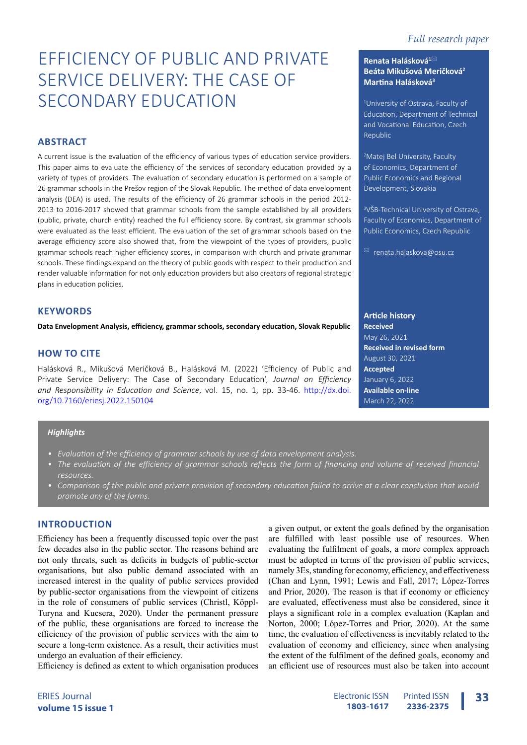# EFFICIENCY OF PUBLIC AND PRIVATE SERVICE DELIVERY: THE CASE OF SECONDARY EDUCATION

# **ABSTRACT**

A current issue is the evaluation of the efficiency of various types of education service providers. This paper aims to evaluate the efficiency of the services of secondary education provided by a variety of types of providers. The evaluation of secondary education is performed on a sample of 26 grammar schools in the Prešov region of the Slovak Republic. The method of data envelopment analysis (DEA) is used. The results of the efficiency of 26 grammar schools in the period 2012- 2013 to 2016-2017 showed that grammar schools from the sample established by all providers (public, private, church entity) reached the full efficiency score. By contrast, six grammar schools were evaluated as the least efficient. The evaluation of the set of grammar schools based on the average efficiency score also showed that, from the viewpoint of the types of providers, public grammar schools reach higher efficiency scores, in comparison with church and private grammar schools. These findings expand on the theory of public goods with respect to their production and render valuable information for not only education providers but also creators of regional strategic plans in education policies.

# **KEYWORDS**

**Data Envelopment Analysis, efficiency, grammar schools, secondary education, Slovak Republic**

# **HOW TO CITE**

Halásková R., Mikušová Meričková B., Halásková M. (2022) 'Efficiency of Public and Private Service Delivery: The Case of Secondary Education', *Journal on Efficiency and Responsibility in Education and Science*, vol. 15, no. 1, pp. 33-46. [http://dx.doi.](http://dx.doi.org/10.7160/eriesj.2022.150105) [org/10.7160/eriesj.2022.15010](http://dx.doi.org/10.7160/eriesj.2022.150105)4

# *Highlights*

- *• Evaluation of the efficiency of grammar schools by use of data envelopment analysis.*
- The evaluation of the efficiency of grammar schools reflects the form of financing and volume of received financial *resources.*
- *• Comparison of the public and private provision of secondary education failed to arrive at a clear conclusion that would promote any of the forms.*

# **INTRODUCTION**

Efficiency has been a frequently discussed topic over the past few decades also in the public sector. The reasons behind are not only threats, such as deficits in budgets of public-sector organisations, but also public demand associated with an increased interest in the quality of public services provided by public-sector organisations from the viewpoint of citizens in the role of consumers of public services (Christl, Köppl-Turyna and Kucsera, 2020). Under the permanent pressure of the public, these organisations are forced to increase the efficiency of the provision of public services with the aim to secure a long-term existence. As a result, their activities must undergo an evaluation of their efficiency.

Efficiency is defined as extent to which organisation produces

# **Renata Halásková<sup>1</sup>**\* **Beáta Mikušová Meričková<sup>2</sup> Martina Halásková<sup>3</sup>**

1 University of Ostrava, Faculty of Education, Department of Technical and Vocational Education, Czech Republic

2 Matej Bel University, Faculty of Economics, Department of Public Economics and Regional Development, Slovakia

3 VŠB-Technical University of Ostrava, Faculty of Economics, Department of Public Economics, Czech Republic

 $^{\boxtimes}$  [renata.halaskova@osu.cz](mailto:renata.halaskova%40osu.cz?subject=)

## **Article history**

a given output, or extent the goals defined by the organisation are fulfilled with least possible use of resources. When evaluating the fulfilment of goals, a more complex approach must be adopted in terms of the provision of public services, namely 3Es, standing for economy, efficiency, and effectiveness (Chan and Lynn, 1991; Lewis and Fall, 2017; López-Torres and Prior, 2020). The reason is that if economy or efficiency are evaluated, effectiveness must also be considered, since it plays a significant role in a complex evaluation (Kaplan and Norton, 2000; López-Torres and Prior, 2020). At the same time, the evaluation of effectiveness is inevitably related to the evaluation of economy and efficiency, since when analysing the extent of the fulfilment of the defined goals, economy and an efficient use of resources must also be taken into account

**Received** May 26, 2021 **Received in revised form** August 30, 2021 **Accepted** January 6, 2022 **Available on-line** March 22, 2022

ERIES Journal **volume 15 issue 1**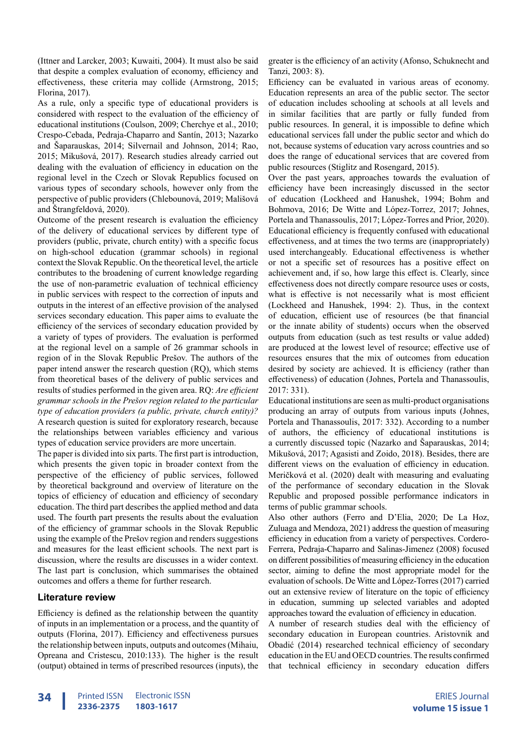(Ittner and Larcker, 2003; Kuwaiti, 2004). It must also be said that despite a complex evaluation of economy, efficiency and effectiveness, these criteria may collide (Armstrong, 2015; Florina, 2017).

As a rule, only a specific type of educational providers is considered with respect to the evaluation of the efficiency of educational institutions (Coulson, 2009; Cherchye et al., 2010; Crespo-Cebada, Pedraja-Chaparro and Santín, 2013; Nazarko and Šaparauskas, 2014; Silvernail and Johnson, 2014; Rao, 2015; Mikušová, 2017). Research studies already carried out dealing with the evaluation of efficiency in education on the regional level in the Czech or Slovak Republics focused on various types of secondary schools, however only from the perspective of public providers (Chlebounová, 2019; Mališová and Štrangfeldová, 2020).

Outcome of the present research is evaluation the efficiency of the delivery of educational services by different type of providers (public, private, church entity) with a specific focus on high-school education (grammar schools) in regional context the Slovak Republic. On the theoretical level, the article contributes to the broadening of current knowledge regarding the use of non-parametric evaluation of technical efficiency in public services with respect to the correction of inputs and outputs in the interest of an effective provision of the analysed services secondary education. This paper aims to evaluate the efficiency of the services of secondary education provided by a variety of types of providers. The evaluation is performed at the regional level on a sample of 26 grammar schools in region of in the Slovak Republic Prešov. The authors of the paper intend answer the research question (RQ), which stems from theoretical bases of the delivery of public services and results of studies performed in the given area. RQ: *Are efficient grammar schools in the Prešov region related to the particular type of education providers (a public, private, church entity)?*  A research question is suited for exploratory research, because the relationships between variables efficiency and various types of education service providers are more uncertain.

The paper is divided into six parts. The first part is introduction, which presents the given topic in broader context from the perspective of the efficiency of public services, followed by theoretical background and overview of literature on the topics of efficiency of education and efficiency of secondary education. The third part describes the applied method and data used. The fourth part presents the results about the evaluation of the efficiency of grammar schools in the Slovak Republic using the example of the Prešov region and renders suggestions and measures for the least efficient schools. The next part is discussion, where the results are discusses in a wider context. The last part is conclusion, which summarises the obtained outcomes and offers a theme for further research.

# **Literature review**

Efficiency is defined as the relationship between the quantity of inputs in an implementation or a process, and the quantity of outputs (Florina, 2017). Efficiency and effectiveness pursues the relationship between inputs, outputs and outcomes (Mihaiu, Opreana and Cristescu, 2010:133). The higher is the result (output) obtained in terms of prescribed resources (inputs), the

greater is the efficiency of an activity (Afonso, Schuknecht and Tanzi, 2003: 8).

Efficiency can be evaluated in various areas of economy. Education represents an area of the public sector. The sector of education includes schooling at schools at all levels and in similar facilities that are partly or fully funded from public resources. In general, it is impossible to define which educational services fall under the public sector and which do not, because systems of education vary across countries and so does the range of educational services that are covered from public resources (Stiglitz and Rosengard, 2015).

Over the past years, approaches towards the evaluation of efficiency have been increasingly discussed in the sector of education (Lockheed and Hanushek, 1994; Bohm and Bohmova, 2016; De Witte and López-Torrez, 2017; Johnes, Portela and Thanassoulis, 2017; López-Torres and Prior, 2020). Educational efficiency is frequently confused with educational effectiveness, and at times the two terms are (inappropriately) used interchangeably. Educational effectiveness is whether or not a specific set of resources has a positive effect on achievement and, if so, how large this effect is. Clearly, since effectiveness does not directly compare resource uses or costs, what is effective is not necessarily what is most efficient (Lockheed and Hanushek, 1994: 2). Thus, in the context of education, efficient use of resources (be that financial or the innate ability of students) occurs when the observed outputs from education (such as test results or value added) are produced at the lowest level of resource; effective use of resources ensures that the mix of outcomes from education desired by society are achieved. It is efficiency (rather than effectiveness) of education (Johnes, Portela and Thanassoulis, 2017: 331).

Educational institutions are seen as multi-product organisations producing an array of outputs from various inputs (Johnes, Portela and Thanassoulis, 2017: 332). According to a number of authors, the efficiency of educational institutions is a currently discussed topic (Nazarko and Šaparauskas, 2014; Mikušová, 2017; Agasisti and Zoido, 2018). Besides, there are different views on the evaluation of efficiency in education. Meričková et al. (2020) dealt with measuring and evaluating of the performance of secondary education in the Slovak Republic and proposed possible performance indicators in terms of public grammar schools.

Also other authors (Ferro and D'Elia, 2020; De La Hoz, Zuluaga and Mendoza, 2021) address the question of measuring efficiency in education from a variety of perspectives. Cordero-Ferrera, Pedraja-Chaparro and Salinas-Jimenez (2008) focused on different possibilities of measuring efficiency in the education sector, aiming to define the most appropriate model for the evaluation of schools. De Witte and López-Torres (2017) carried out an extensive review of literature on the topic of efficiency in education, summing up selected variables and adopted approaches toward the evaluation of efficiency in education.

A number of research studies deal with the efficiency of secondary education in European countries. Aristovnik and Obadić (2014) researched technical efficiency of secondary education in the EU and OECD countries. The results confirmed that technical efficiency in secondary education differs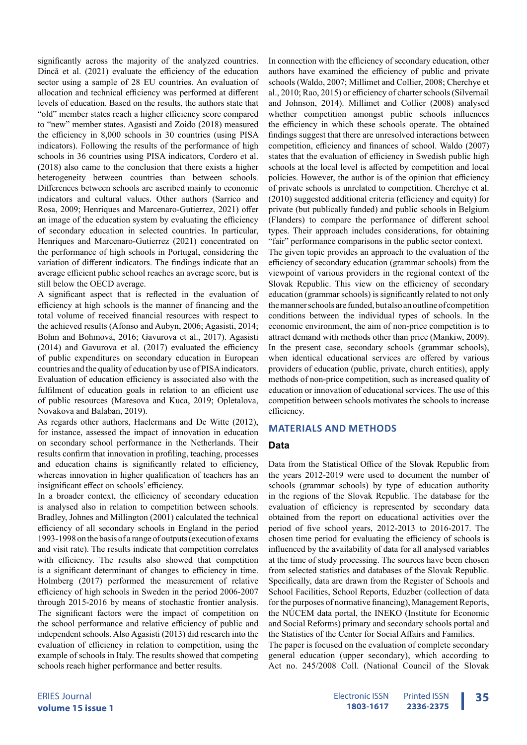significantly across the majority of the analyzed countries. Dincă et al. (2021) evaluate the efficiency of the education sector using a sample of 28 EU countries. An evaluation of allocation and technical efficiency was performed at different levels of education. Based on the results, the authors state that "old" member states reach a higher efficiency score compared to "new" member states. Agasisti and Zoido (2018) measured the efficiency in 8,000 schools in 30 countries (using PISA indicators). Following the results of the performance of high schools in 36 countries using PISA indicators, Cordero et al. (2018) also came to the conclusion that there exists a higher heterogeneity between countries than between schools. Differences between schools are ascribed mainly to economic indicators and cultural values. Other authors (Sarrico and Rosa, 2009; Henriques and Marcenaro-Gutierrez, 2021) offer an image of the education system by evaluating the efficiency of secondary education in selected countries. In particular, Henriques and Marcenaro-Gutierrez (2021) concentrated on the performance of high schools in Portugal, considering the variation of different indicators. The findings indicate that an average efficient public school reaches an average score, but is still below the OECD average.

A significant aspect that is reflected in the evaluation of efficiency at high schools is the manner of financing and the total volume of received financial resources with respect to the achieved results (Afonso and Aubyn, 2006; Agasisti, 2014; Bohm and Bohmová, 2016; Gavurova et al., 2017). Agasisti (2014) and Gavurova et al. (2017) evaluated the efficiency of public expenditures on secondary education in European countries and the quality of education by use of PISA indicators. Evaluation of education efficiency is associated also with the fulfilment of education goals in relation to an efficient use of public resources (Maresova and Kuca, 2019; Opletalova, Novakova and Balaban, 2019).

As regards other authors, Haelermans and De Witte (2012), for instance, assessed the impact of innovation in education on secondary school performance in the Netherlands. Their results confirm that innovation in profiling, teaching, processes and education chains is significantly related to efficiency, whereas innovation in higher qualification of teachers has an insignificant effect on schools' efficiency.

In a broader context, the efficiency of secondary education is analysed also in relation to competition between schools. Bradley, Johnes and Millington (2001) calculated the technical efficiency of all secondary schools in England in the period 1993-1998 on the basis of a range of outputs (execution of exams and visit rate). The results indicate that competition correlates with efficiency. The results also showed that competition is a significant determinant of changes to efficiency in time. Holmberg (2017) performed the measurement of relative efficiency of high schools in Sweden in the period 2006-2007 through 2015-2016 by means of stochastic frontier analysis. The significant factors were the impact of competition on the school performance and relative efficiency of public and independent schools. Also Agasisti (2013) did research into the evaluation of efficiency in relation to competition, using the example of schools in Italy. The results showed that competing schools reach higher performance and better results.

In connection with the efficiency of secondary education, other authors have examined the efficiency of public and private schools (Waldo, 2007; Millimet and Collier, 2008; Cherchye et al., 2010; Rao, 2015) or efficiency of charter schools (Silvernail and Johnson, 2014). Millimet and Collier (2008) analysed whether competition amongst public schools influences the efficiency in which these schools operate. The obtained findings suggest that there are unresolved interactions between competition, efficiency and finances of school. Waldo (2007) states that the evaluation of efficiency in Swedish public high schools at the local level is affected by competition and local policies. However, the author is of the opinion that efficiency of private schools is unrelated to competition. Cherchye et al. (2010) suggested additional criteria (efficiency and equity) for private (but publically funded) and public schools in Belgium (Flanders) to compare the performance of different school types. Their approach includes considerations, for obtaining "fair" performance comparisons in the public sector context.

The given topic provides an approach to the evaluation of the efficiency of secondary education (grammar schools) from the viewpoint of various providers in the regional context of the Slovak Republic. This view on the efficiency of secondary education (grammar schools) is significantly related to not only the manner schools are funded, but also an outline of competition conditions between the individual types of schools. In the economic environment, the aim of non-price competition is to attract demand with methods other than price (Mankiw, 2009). In the present case, secondary schools (grammar schools), when identical educational services are offered by various providers of education (public, private, church entities), apply methods of non-price competition, such as increased quality of education or innovation of educational services. The use of this competition between schools motivates the schools to increase efficiency.

#### **MATERIALS AND METHODS**

#### **Data**

Data from the Statistical Office of the Slovak Republic from the years 2012-2019 were used to document the number of schools (grammar schools) by type of education authority in the regions of the Slovak Republic. The database for the evaluation of efficiency is represented by secondary data obtained from the report on educational activities over the period of five school years, 2012-2013 to 2016-2017. The chosen time period for evaluating the efficiency of schools is influenced by the availability of data for all analysed variables at the time of study processing. The sources have been chosen from selected statistics and databases of the Slovak Republic. Specifically, data are drawn from the Register of Schools and School Facilities, School Reports, Eduzber (collection of data for the purposes of normative financing), Management Reports, the NÚCEM data portal, the INEKO (Institute for Economic and Social Reforms) primary and secondary schools portal and the Statistics of the Center for Social Affairs and Families.

The paper is focused on the evaluation of complete secondary general education (upper secondary), which according to Act no. 245/2008 Coll. (National Council of the Slovak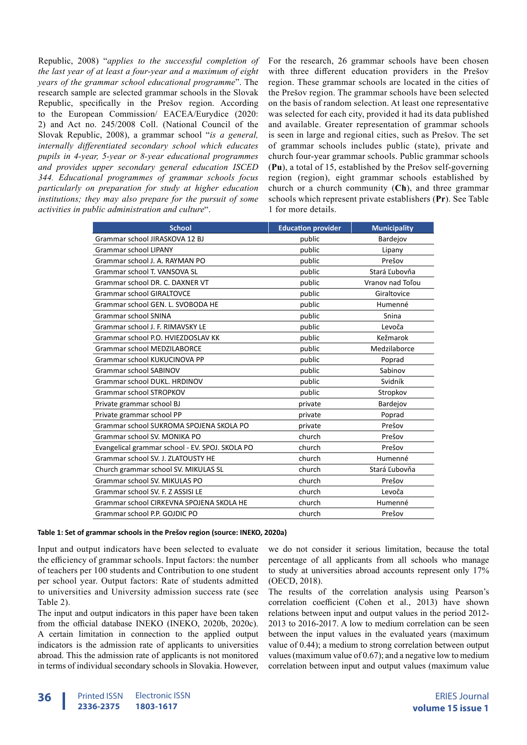Republic, 2008) "*applies to the successful completion of the last year of at least a four-year and a maximum of eight years of the grammar school educational programme*". The research sample are selected grammar schools in the Slovak Republic, specifically in the Prešov region. According to the European Commission/ EACEA/Eurydice (2020: 2) and Act no. 245/2008 Coll. (National Council of the Slovak Republic, 2008), a grammar school "*is a general, internally differentiated secondary school which educates pupils in 4-year, 5-year or 8-year educational programmes and provides upper secondary general education ISCED 344. Educational programmes of grammar schools focus particularly on preparation for study at higher education institutions; they may also prepare for the pursuit of some activities in public administration and culture*".

For the research, 26 grammar schools have been chosen with three different education providers in the Prešov region. These grammar schools are located in the cities of the Prešov region. The grammar schools have been selected on the basis of random selection. At least one representative was selected for each city, provided it had its data published and available. Greater representation of grammar schools is seen in large and regional cities, such as Prešov. The set of grammar schools includes public (state), private and church four-year grammar schools. Public grammar schools (**Pu**), a total of 15, established by the Prešov self-governing region (region), eight grammar schools established by church or a church community (**Ch**), and three grammar schools which represent private establishers (**Pr**). See Table 1 for more details.

| <b>School</b>                                   | <b>Education provider</b> | <b>Municipality</b> |
|-------------------------------------------------|---------------------------|---------------------|
| Grammar school JIRASKOVA 12 BJ                  | public                    | Bardejov            |
| Grammar school LIPANY                           | public                    | Lipany              |
| Grammar school J. A. RAYMAN PO                  | public                    | Prešov              |
| Grammar school T. VANSOVA SL                    | public                    | Stará Ľubovňa       |
| Grammar school DR. C. DAXNER VT                 | public                    | Vranov nad Toľou    |
| <b>Grammar school GIRALTOVCE</b>                | public                    | Giraltovice         |
| Grammar school GEN. L. SVOBODA HE               | public                    | Humenné             |
| <b>Grammar school SNINA</b>                     | public                    | Snina               |
| Grammar school J. F. RIMAVSKY LE                | public                    | Levoča              |
| Grammar school P.O. HVIEZDOSLAV KK              | public                    | Kežmarok            |
| Grammar school MEDZILABORCE                     | public                    | Medzilaborce        |
| Grammar school KUKUCINOVA PP                    | public                    | Poprad              |
| <b>Grammar school SABINOV</b>                   | public                    | Sabinov             |
| Grammar school DUKL, HRDINOV                    | public                    | Svidník             |
| <b>Grammar school STROPKOV</b>                  | public                    | Stropkov            |
| Private grammar school BJ                       | private                   | Bardejov            |
| Private grammar school PP                       | private                   | Poprad              |
| Grammar school SUKROMA SPOJENA SKOLA PO         | private                   | Prešov              |
| Grammar school SV. MONIKA PO                    | church                    | Prešov              |
| Evangelical grammar school - EV. SPOJ. SKOLA PO | church                    | Prešov              |
| Grammar school SV. J. ZLATOUSTY HE              | church                    | Humenné             |
| Church grammar school SV. MIKULAS SL            | church                    | Stará Ľubovňa       |
| Grammar school SV. MIKULAS PO                   | church                    | Prešov              |
| Grammar school SV. F. Z ASSISI LE               | church                    | Levoča              |
| Grammar school CIRKEVNA SPOJENA SKOLA HE        | church                    | Humenné             |
| Grammar school P.P. GOJDIC PO                   | church                    | Prešov              |

#### **Table 1: Set of grammar schools in the Prešov region (source: INEKO, 2020a)**

Input and output indicators have been selected to evaluate the efficiency of grammar schools. Input factors: the number of teachers per 100 students and Contribution to one student per school year. Output factors: Rate of students admitted to universities and University admission success rate (see Table 2).

The input and output indicators in this paper have been taken from the official database INEKO (INEKO, 2020b, 2020c). A certain limitation in connection to the applied output indicators is the admission rate of applicants to universities abroad. This the admission rate of applicants is not monitored in terms of individual secondary schools in Slovakia. However,

we do not consider it serious limitation, because the total percentage of all applicants from all schools who manage to study at universities abroad accounts represent only 17% (OECD, 2018).

The results of the correlation analysis using Pearson's correlation coefficient (Cohen et al., 2013) have shown relations between input and output values in the period 2012- 2013 to 2016-2017. A low to medium correlation can be seen between the input values in the evaluated years (maximum value of 0.44); a medium to strong correlation between output values (maximum value of 0.67); and a negative low to medium correlation between input and output values (maximum value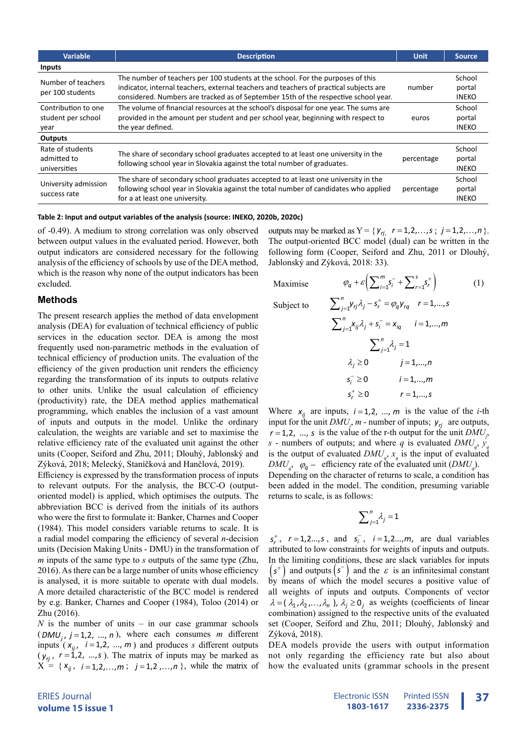| <b>Variable</b>                      | <b>Description</b>                                                                                                                                             | <b>Unit</b> | Source.      |
|--------------------------------------|----------------------------------------------------------------------------------------------------------------------------------------------------------------|-------------|--------------|
| <b>Inputs</b>                        |                                                                                                                                                                |             |              |
| Number of teachers                   | The number of teachers per 100 students at the school. For the purposes of this                                                                                |             | School       |
| per 100 students                     | indicator, internal teachers, external teachers and teachers of practical subjects are                                                                         | number      | portal       |
|                                      | considered. Numbers are tracked as of September 15th of the respective school year.                                                                            |             | <b>INEKO</b> |
| Contribution to one                  | The volume of financial resources at the school's disposal for one year. The sums are                                                                          |             | School       |
| student per school                   | provided in the amount per student and per school year, beginning with respect to                                                                              | euros       | portal       |
| year                                 | the year defined.                                                                                                                                              |             | <b>INEKO</b> |
| <b>Outputs</b>                       |                                                                                                                                                                |             |              |
| Rate of students                     |                                                                                                                                                                |             | School       |
| admitted to                          | The share of secondary school graduates accepted to at least one university in the<br>following school year in Slovakia against the total number of graduates. | percentage  | portal       |
| universities                         |                                                                                                                                                                |             | <b>INEKO</b> |
|                                      | The share of secondary school graduates accepted to at least one university in the                                                                             |             | School       |
| University admission<br>success rate | following school year in Slovakia against the total number of candidates who applied                                                                           | percentage  | portal       |
|                                      | for a at least one university.                                                                                                                                 |             | <b>INEKO</b> |

**Table 2: Input and output variables of the analysis (source: INEKO, 2020b, 2020c)**

of -0.49). A medium to strong correlation was only observed between output values in the evaluated period. However, both output indicators are considered necessary for the following analysis of the efficiency of schools by use of the DEA method, which is the reason why none of the output indicators has been excluded.

#### **Methods**

The present research applies the method of data envelopment analysis (DEA) for evaluation of technical efficiency of public services in the education sector. DEA is among the most frequently used non-parametric methods in the evaluation of technical efficiency of production units. The evaluation of the efficiency of the given production unit renders the efficiency regarding the transformation of its inputs to outputs relative to other units. Unlike the usual calculation of efficiency (productivity) rate, the DEA method applies mathematical programming, which enables the inclusion of a vast amount of inputs and outputs in the model. Unlike the ordinary calculation, the weights are variable and set to maximise the relative efficiency rate of the evaluated unit against the other units (Cooper, Seiford and Zhu, 2011; Dlouhý, Jablonský and Zýková, 2018; Melecký, Staníčková and Hančlová, 2019).

Efficiency is expressed by the transformation process of inputs to relevant outputs. For the analysis, the BCC-O (outputoriented model) is applied, which optimises the outputs. The abbreviation BCC is derived from the initials of its authors who were the first to formulate it: Banker, Charnes and Cooper (1984). This model considers variable returns to scale. It is a radial model comparing the efficiency of several *n*-decision units (Decision Making Units - DMU) in the transformation of *m* inputs of the same type to *s* outputs of the same type (Zhu, 2016). As there can be a large number of units whose efficiency is analysed, it is more suitable to operate with dual models. A more detailed characteristic of the BCC model is rendered by e.g. Banker, Charnes and Cooper (1984), Toloo (2014) or Zhu (2016).

*N* is the number of units – in our case grammar schools  $(DMU<sub>i</sub>, j=1, 2, ..., n)$ , where each consumes *m* different inputs  $(x_{ij}, i=1,2, ..., m)$  and produces *s* different outputs  $(y_n, r = 1, 2, ..., s)$ . The matrix of inputs may be marked as  $X = \{x_{ij}, i = 1, 2, ..., m; j = 1, 2, ..., n\}$ , while the matrix of outputs may be marked as  $Y = \{ y_{rj}, r = 1, 2, ..., s ; j = 1, 2, ..., n \}.$ The output-oriented BCC model (dual) can be written in the following form (Cooper, Seiford and Zhu, 2011 or Dlouhý, Jablonský and Zýková, 2018: 33).

Maximise  $\varphi_q + \varepsilon \left( \sum_{i=1}^m s_i^- + \sum_{r=1}^s s_r^+ \right)$  (1)

Subject to  
\n
$$
\sum_{j=1}^{n} Y_{rj} \lambda_j - s_r^+ = \varphi_q y_{rq} \quad r = 1,...,s
$$
\n
$$
\sum_{j=1}^{n} X_{ij} \lambda_j + s_i^- = x_{iq} \quad i = 1,...,m
$$
\n
$$
\sum_{j=1}^{n} \lambda_j = 1
$$
\n
$$
\lambda_j \ge 0 \quad j = 1,...,n
$$
\n
$$
s_i^- \ge 0 \quad i = 1,...,m
$$
\n
$$
s_r^+ \ge 0 \quad r = 1,...,s
$$

Where  $x_{ij}$  are inputs,  $i = 1, 2, ..., m$  is the value of the *i*-th input for the unit  $DMU_j$ , *m* - number of inputs;  $y_{rj}$  are outputs,  $r = 1, 2, \dots$ , *s* is the value of the r-th output for the unit *DMU*<sub>*j*</sub>, *s* - numbers of outputs; and where *q* is evaluated  $DMU_q$ ,  $y_q$ is the output of evaluated  $DMU_q$ ,  $x_q$  is the input of evaluated  $DMU_q$ ,  $\varphi_q$  – efficiency rate of the evaluated unit  $(DMU_q)$ .

Depending on the character of returns to scale, a condition has been added in the model. The condition, presuming variable returns to scale, is as follows:

$$
\sum\nolimits_{j=1}^{n}\lambda _{j}=1
$$

 $s_r^+$ ,  $r = 1, 2...$ , *s*, and  $s_i^-$ ,  $i = 1, 2...$ , *m*, are dual variables attributed to low constraints for weights of inputs and outputs. In the limiting conditions, these are slack variables for inputs  $(s^{+})$  and outputs  $(s^{-})$  and the  $\varepsilon$  is an infinitesimal constant by means of which the model secures a positive value of all weights of inputs and outputs. Components of vector  $\lambda = (\lambda_1, \lambda_2, ..., \lambda_n)$ ,  $\lambda_i \ge 0$ , as weights (coefficients of linear combination) assigned to the respective units of the evaluated set (Cooper, Seiford and Zhu, 2011; Dlouhý, Jablonský and Zýková, 2018).

DEA models provide the users with output information not only regarding the efficiency rate but also about how the evaluated units (grammar schools in the present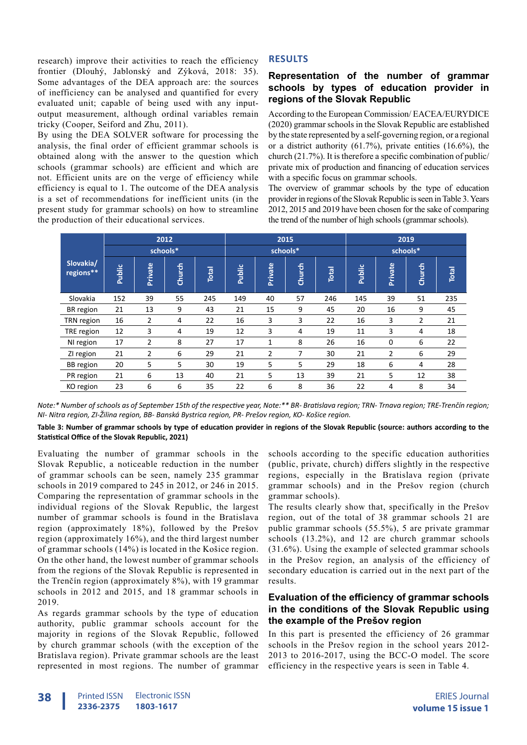research) improve their activities to reach the efficiency frontier (Dlouhý, Jablonský and Zýková, 2018: 35). Some advantages of the DEA approach are: the sources of inefficiency can be analysed and quantified for every evaluated unit; capable of being used with any inputoutput measurement, although ordinal variables remain tricky (Cooper, Seiford and Zhu, 2011).

By using the DEA SOLVER software for processing the analysis, the final order of efficient grammar schools is obtained along with the answer to the question which schools (grammar schools) are efficient and which are not. Efficient units are on the verge of efficiency while efficiency is equal to 1. The outcome of the DEA analysis is a set of recommendations for inefficient units (in the present study for grammar schools) on how to streamline the production of their educational services.

# **RESULTS**

# **Representation of the number of grammar schools by types of education provider in regions of the Slovak Republic**

According to the European Commission/ EACEA/EURYDICE (2020) grammar schools in the Slovak Republic are established by the state represented by a self-governing region, or a regional or a district authority  $(61.7\%)$ , private entities  $(16.6\%)$ , the church (21.7%). It is therefore a specific combination of public/ private mix of production and financing of education services with a specific focus on grammar schools.

The overview of grammar schools by the type of education provider in regions of the Slovak Republic is seen in Table 3. Years 2012, 2015 and 2019 have been chosen for the sake of comparing the trend of the number of high schools (grammar schools).

|                        |        | 2012           |        |       | 2015   |                |        |       | 2019          |                |                |              |
|------------------------|--------|----------------|--------|-------|--------|----------------|--------|-------|---------------|----------------|----------------|--------------|
|                        |        | schools*       |        |       |        | schools*       |        |       | schools*      |                |                |              |
| Slovakia/<br>regions** | Public | Private        | Church | Total | Public | Private        | Church | Total | <b>Public</b> | <b>Private</b> | Church         | <b>Total</b> |
| Slovakia               | 152    | 39             | 55     | 245   | 149    | 40             | 57     | 246   | 145           | 39             | 51             | 235          |
| BR region              | 21     | 13             | 9      | 43    | 21     | 15             | 9      | 45    | 20            | 16             | 9              | 45           |
| TRN region             | 16     | $\overline{2}$ | 4      | 22    | 16     | 3              | 3      | 22    | 16            | 3              | $\overline{2}$ | 21           |
| TRE region             | 12     | 3              | 4      | 19    | 12     | 3              | 4      | 19    | 11            | 3              | 4              | 18           |
| NI region              | 17     | $\overline{2}$ | 8      | 27    | 17     | 1              | 8      | 26    | 16            | $\mathbf 0$    | 6              | 22           |
| ZI region              | 21     | 2              | 6      | 29    | 21     | $\overline{2}$ | 7      | 30    | 21            | $\overline{2}$ | 6              | 29           |
| <b>BB</b> region       | 20     | 5              | 5      | 30    | 19     | 5              | 5      | 29    | 18            | 6              | 4              | 28           |
| PR region              | 21     | 6              | 13     | 40    | 21     | 5              | 13     | 39    | 21            | 5              | 12             | 38           |
| KO region              | 23     | 6              | 6      | 35    | 22     | 6              | 8      | 36    | 22            | 4              | 8              | 34           |

*Note:\* Number of schools as of September 15th of the respective year, Note:\*\* BR- Bratislava region; TRN- Trnava region; TRE-Trenčín region; NI- Nitra region, ZI-Žilina region, BB- Banská Bystrica region, PR- Prešov region, KO- Košice region.*

**Table 3: Number of grammar schools by type of education provider in regions of the Slovak Republic (source: authors according to the Statistical Office of the Slovak Republic, 2021)**

Evaluating the number of grammar schools in the Slovak Republic, a noticeable reduction in the number of grammar schools can be seen, namely 235 grammar schools in 2019 compared to 245 in 2012, or 246 in 2015. Comparing the representation of grammar schools in the individual regions of the Slovak Republic, the largest number of grammar schools is found in the Bratislava region (approximately 18%), followed by the Prešov region (approximately 16%), and the third largest number of grammar schools (14%) is located in the Košice region. On the other hand, the lowest number of grammar schools from the regions of the Slovak Republic is represented in the Trenčín region (approximately 8%), with 19 grammar schools in 2012 and 2015, and 18 grammar schools in 2019.

As regards grammar schools by the type of education authority, public grammar schools account for the majority in regions of the Slovak Republic, followed by church grammar schools (with the exception of the Bratislava region). Private grammar schools are the least represented in most regions. The number of grammar

schools according to the specific education authorities (public, private, church) differs slightly in the respective regions, especially in the Bratislava region (private grammar schools) and in the Prešov region (church grammar schools).

The results clearly show that, specifically in the Prešov region, out of the total of 38 grammar schools 21 are public grammar schools (55.5%), 5 are private grammar schools (13.2%), and 12 are church grammar schools (31.6%). Using the example of selected grammar schools in the Prešov region, an analysis of the efficiency of secondary education is carried out in the next part of the results.

# **Evaluation of the efficiency of grammar schools in the conditions of the Slovak Republic using the example of the Prešov region**

In this part is presented the efficiency of 26 grammar schools in the Prešov region in the school years 2012- 2013 to 2016-2017, using the BCC-O model. The score efficiency in the respective years is seen in Table 4.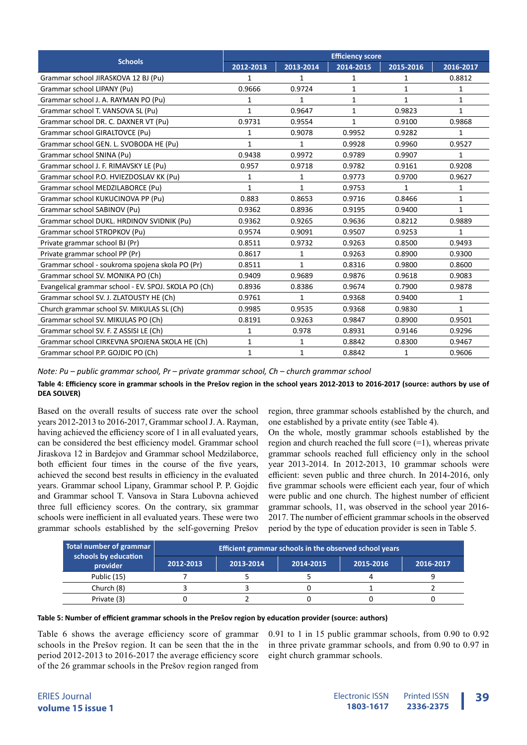| <b>Schools</b>                                       | <b>Efficiency score</b> |              |              |              |              |  |  |
|------------------------------------------------------|-------------------------|--------------|--------------|--------------|--------------|--|--|
|                                                      | 2012-2013               | 2013-2014    | 2014-2015    | 2015-2016    | 2016-2017    |  |  |
| Grammar school JIRASKOVA 12 BJ (Pu)                  | 1                       | 1            | 1            | 1            | 0.8812       |  |  |
| Grammar school LIPANY (Pu)                           | 0.9666                  | 0.9724       | $\mathbf{1}$ | $\mathbf{1}$ | $\mathbf{1}$ |  |  |
| Grammar school J. A. RAYMAN PO (Pu)                  | 1                       | 1            | $\mathbf{1}$ | $\mathbf{1}$ | 1            |  |  |
| Grammar school T. VANSOVA SL (Pu)                    | $\mathbf{1}$            | 0.9647       | $\mathbf{1}$ | 0.9823       | $\mathbf{1}$ |  |  |
| Grammar school DR. C. DAXNER VT (Pu)                 | 0.9731                  | 0.9554       | $\mathbf{1}$ | 0.9100       | 0.9868       |  |  |
| Grammar school GIRALTOVCE (Pu)                       | 1                       | 0.9078       | 0.9952       | 0.9282       | $\mathbf{1}$ |  |  |
| Grammar school GEN. L. SVOBODA HE (Pu)               | $\mathbf{1}$            | $\mathbf{1}$ | 0.9928       | 0.9960       | 0.9527       |  |  |
| Grammar school SNINA (Pu)                            | 0.9438                  | 0.9972       | 0.9789       | 0.9907       | 1            |  |  |
| Grammar school J. F. RIMAVSKY LE (Pu)                | 0.957                   | 0.9718       | 0.9782       | 0.9161       | 0.9208       |  |  |
| Grammar school P.O. HVIEZDOSLAV KK (Pu)              | 1                       | 1            | 0.9773       | 0.9700       | 0.9627       |  |  |
| Grammar school MEDZILABORCE (Pu)                     | 1                       | $\mathbf{1}$ | 0.9753       | 1            | 1            |  |  |
| Grammar school KUKUCINOVA PP (Pu)                    | 0.883                   | 0.8653       | 0.9716       | 0.8466       | 1            |  |  |
| Grammar school SABINOV (Pu)                          | 0.9362                  | 0.8936       | 0.9195       | 0.9400       | 1            |  |  |
| Grammar school DUKL. HRDINOV SVIDNIK (Pu)            | 0.9362                  | 0.9265       | 0.9636       | 0.8212       | 0.9889       |  |  |
| Grammar school STROPKOV (Pu)                         | 0.9574                  | 0.9091       | 0.9507       | 0.9253       | 1            |  |  |
| Private grammar school BJ (Pr)                       | 0.8511                  | 0.9732       | 0.9263       | 0.8500       | 0.9493       |  |  |
| Private grammar school PP (Pr)                       | 0.8617                  | $\mathbf{1}$ | 0.9263       | 0.8900       | 0.9300       |  |  |
| Grammar school - soukroma spojena skola PO (Pr)      | 0.8511                  | $\mathbf{1}$ | 0.8316       | 0.9800       | 0.8600       |  |  |
| Grammar school SV. MONIKA PO (Ch)                    | 0.9409                  | 0.9689       | 0.9876       | 0.9618       | 0.9083       |  |  |
| Evangelical grammar school - EV. SPOJ. SKOLA PO (Ch) | 0.8936                  | 0.8386       | 0.9674       | 0.7900       | 0.9878       |  |  |
| Grammar school SV. J. ZLATOUSTY HE (Ch)              | 0.9761                  | 1            | 0.9368       | 0.9400       | 1            |  |  |
| Church grammar school SV. MIKULAS SL (Ch)            | 0.9985                  | 0.9535       | 0.9368       | 0.9830       | $\mathbf{1}$ |  |  |
| Grammar school SV. MIKULAS PO (Ch)                   | 0.8191                  | 0.9263       | 0.9847       | 0.8900       | 0.9501       |  |  |
| Grammar school SV. F. Z ASSISI LE (Ch)               | 1                       | 0.978        | 0.8931       | 0.9146       | 0.9296       |  |  |
| Grammar school CIRKEVNA SPOJENA SKOLA HE (Ch)        | $\mathbf{1}$            | 1            | 0.8842       | 0.8300       | 0.9467       |  |  |
| Grammar school P.P. GOJDIC PO (Ch)                   | $\mathbf{1}$            | 1            | 0.8842       | 1            | 0.9606       |  |  |

*Note: Pu – public grammar school, Pr – private grammar school, Ch – church grammar school*

# **Table 4: Efficiency score in grammar schools in the Prešov region in the school years 2012-2013 to 2016-2017 (source: authors by use of DEA SOLVER)**

Based on the overall results of success rate over the school years 2012-2013 to 2016-2017, Grammar school J. A. Rayman, having achieved the efficiency score of 1 in all evaluated years, can be considered the best efficiency model. Grammar school Jiraskova 12 in Bardejov and Grammar school Medzilaborce, both efficient four times in the course of the five years, achieved the second best results in efficiency in the evaluated years. Grammar school Lipany, Grammar school P. P. Gojdic and Grammar school T. Vansova in Stara Lubovna achieved three full efficiency scores. On the contrary, six grammar schools were inefficient in all evaluated years. These were two grammar schools established by the self-governing Prešov

region, three grammar schools established by the church, and one established by a private entity (see Table 4).

On the whole, mostly grammar schools established by the region and church reached the full score  $(=1)$ , whereas private grammar schools reached full efficiency only in the school year 2013-2014. In 2012-2013, 10 grammar schools were efficient: seven public and three church. In 2014-2016, only five grammar schools were efficient each year, four of which were public and one church. The highest number of efficient grammar schools, 11, was observed in the school year 2016- 2017. The number of efficient grammar schools in the observed period by the type of education provider is seen in Table 5.

| Total number of grammar          | Efficient grammar schools in the observed school years |           |           |           |           |  |  |
|----------------------------------|--------------------------------------------------------|-----------|-----------|-----------|-----------|--|--|
| schools by education<br>provider | 2012-2013                                              | 2013-2014 | 2014-2015 | 2015-2016 | 2016-2017 |  |  |
| Public (15)                      |                                                        |           |           |           |           |  |  |
| Church (8)                       |                                                        |           |           |           |           |  |  |
| Private (3)                      |                                                        |           |           |           |           |  |  |

#### **Table 5: Number of efficient grammar schools in the Prešov region by education provider (source: authors)**

Table 6 shows the average efficiency score of grammar schools in the Prešov region. It can be seen that the in the period 2012-2013 to 2016-2017 the average efficiency score of the 26 grammar schools in the Prešov region ranged from

0.91 to 1 in 15 public grammar schools, from 0.90 to 0.92 in three private grammar schools, and from 0.90 to 0.97 in eight church grammar schools.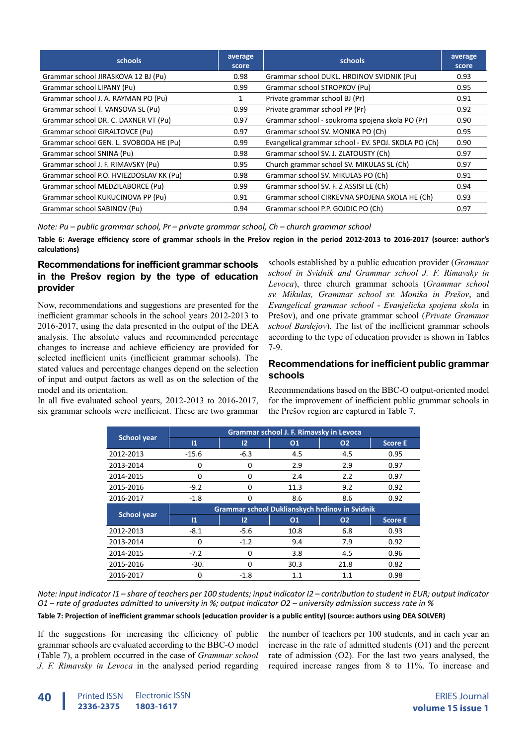| <b>schools</b>                          | average<br>score | schools                                              | average<br>score |
|-----------------------------------------|------------------|------------------------------------------------------|------------------|
| Grammar school JIRASKOVA 12 BJ (Pu)     | 0.98             | Grammar school DUKL. HRDINOV SVIDNIK (Pu)            | 0.93             |
| Grammar school LIPANY (Pu)              | 0.99             | Grammar school STROPKOV (Pu)                         | 0.95             |
| Grammar school J. A. RAYMAN PO (Pu)     |                  | Private grammar school BJ (Pr)                       | 0.91             |
| Grammar school T. VANSOVA SL (Pu)       | 0.99             | Private grammar school PP (Pr)                       | 0.92             |
| Grammar school DR. C. DAXNER VT (Pu)    | 0.97             | Grammar school - soukroma spojena skola PO (Pr)      | 0.90             |
| Grammar school GIRALTOVCE (Pu)          | 0.97             | Grammar school SV. MONIKA PO (Ch)                    | 0.95             |
| Grammar school GEN. L. SVOBODA HE (Pu)  | 0.99             | Evangelical grammar school - EV. SPOJ. SKOLA PO (Ch) | 0.90             |
| Grammar school SNINA (Pu)               | 0.98             | Grammar school SV. J. ZLATOUSTY (Ch)                 | 0.97             |
| Grammar school J. F. RIMAVSKY (Pu)      | 0.95             | Church grammar school SV. MIKULAS SL (Ch)            | 0.97             |
| Grammar school P.O. HVIEZDOSLAV KK (Pu) | 0.98             | Grammar school SV. MIKULAS PO (Ch)                   | 0.91             |
| Grammar school MEDZILABORCE (Pu)        | 0.99             | Grammar school SV. F. Z ASSISI LE (Ch)               | 0.94             |
| Grammar school KUKUCINOVA PP (Pu)       | 0.91             | Grammar school CIRKEVNA SPOJENA SKOLA HE (Ch)        | 0.93             |
| Grammar school SABINOV (Pu)             | 0.94             | Grammar school P.P. GOJDIC PO (Ch)                   | 0.97             |

*Note: Pu – public grammar school, Pr – private grammar school, Ch – church grammar school*

**Table 6: Average efficiency score of grammar schools in the Prešov region in the period 2012-2013 to 2016-2017 (source: author's calculations)**

# **Recommendations for inefficient grammar schools in the Prešov region by the type of education provider**

Now, recommendations and suggestions are presented for the inefficient grammar schools in the school years 2012-2013 to 2016-2017, using the data presented in the output of the DEA analysis. The absolute values and recommended percentage changes to increase and achieve efficiency are provided for selected inefficient units (inefficient grammar schools). The stated values and percentage changes depend on the selection of input and output factors as well as on the selection of the model and its orientation.

In all five evaluated school years, 2012-2013 to 2016-2017, six grammar schools were inefficient. These are two grammar

schools established by a public education provider (*Grammar school in Svidnik and Grammar school J. F. Rimavsky in Levoca*), three church grammar schools (*Grammar school sv. Mikulas, Grammar school sv. Monika in Prešov*, and *Evangelical grammar school* - *Evanjelicka spojena skola* in Prešov), and one private grammar school (*Private Grammar school Bardejov*). The list of the inefficient grammar schools according to the type of education provider is shown in Tables 7-9.

# **Recommendations for inefficient public grammar schools**

Recommendations based on the BBC-O output-oriented model for the improvement of inefficient public grammar schools in the Prešov region are captured in Table 7.

|                    |          |                                                | Grammar school J. F. Rimavsky in Levoca |                |                |
|--------------------|----------|------------------------------------------------|-----------------------------------------|----------------|----------------|
| <b>School year</b> | 11       | $12 \overline{ }$                              | 01                                      | O <sub>2</sub> | <b>Score E</b> |
| 2012-2013          | $-15.6$  | $-6.3$                                         | 4.5                                     | 4.5            | 0.95           |
| 2013-2014          | 0        | 0                                              | 2.9                                     | 2.9            | 0.97           |
| 2014-2015          | $\Omega$ | 0                                              | 2.4                                     | 2.2            | 0.97           |
| 2015-2016          | $-9.2$   | O                                              | 11.3                                    | 9.2            | 0.92           |
| 2016-2017          | $-1.8$   | 0                                              | 8.6                                     | 8.6            | 0.92           |
|                    |          |                                                |                                         |                |                |
|                    |          | Grammar school Duklianskych hrdinov in Svidnik |                                         |                |                |
| <b>School year</b> | 11       | $12 \overline{ }$                              | 01                                      | <b>O2</b>      | <b>Score E</b> |
| 2012-2013          | $-8.1$   | $-5.6$                                         | 10.8                                    | 6.8            | 0.93           |
| 2013-2014          | $\Omega$ | $-1.2$                                         | 9.4                                     | 7.9            | 0.92           |
| 2014-2015          | $-7.2$   | 0                                              | 3.8                                     | 4.5            | 0.96           |
| 2015-2016          | $-30.$   | 0                                              | 30.3                                    | 21.8           | 0.82           |

*Note: input indicator I1 – share of teachers per 100 students; input indicator I2 – contribution to student in EUR; output indicator O1 – rate of graduates admitted to university in %; output indicator O2 – university admission success rate in %*

#### **Table 7: Projection of inefficient grammar schools (education provider is a public entity) (source: authors using DEA SOLVER)**

If the suggestions for increasing the efficiency of public grammar schools are evaluated according to the BBC-O model (Table 7), a problem occurred in the case of *Grammar school J. F. Rimavsky in Levoca* in the analysed period regarding

the number of teachers per 100 students, and in each year an increase in the rate of admitted students (O1) and the percent rate of admission (O2). For the last two years analysed, the required increase ranges from 8 to 11%. To increase and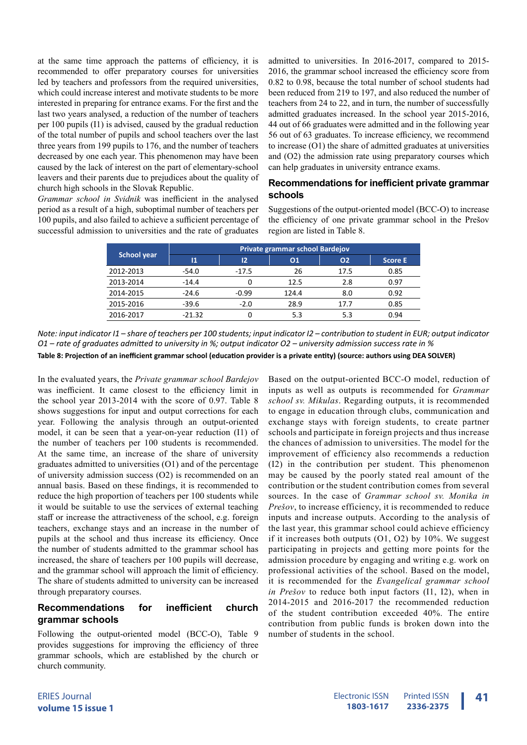at the same time approach the patterns of efficiency, it is recommended to offer preparatory courses for universities led by teachers and professors from the required universities, which could increase interest and motivate students to be more interested in preparing for entrance exams. For the first and the last two years analysed, a reduction of the number of teachers per 100 pupils (I1) is advised, caused by the gradual reduction of the total number of pupils and school teachers over the last three years from 199 pupils to 176, and the number of teachers decreased by one each year. This phenomenon may have been caused by the lack of interest on the part of elementary-school leavers and their parents due to prejudices about the quality of church high schools in the Slovak Republic.

*Grammar school in Svidnik* was inefficient in the analysed period as a result of a high, suboptimal number of teachers per 100 pupils, and also failed to achieve a sufficient percentage of successful admission to universities and the rate of graduates admitted to universities. In 2016-2017, compared to 2015- 2016, the grammar school increased the efficiency score from 0.82 to 0.98, because the total number of school students had been reduced from 219 to 197, and also reduced the number of teachers from 24 to 22, and in turn, the number of successfully admitted graduates increased. In the school year 2015-2016, 44 out of 66 graduates were admitted and in the following year 56 out of 63 graduates. To increase efficiency, we recommend to increase (O1) the share of admitted graduates at universities and (O2) the admission rate using preparatory courses which can help graduates in university entrance exams.

## **Recommendations for inefficient private grammar schools**

Suggestions of the output-oriented model (BCC-O) to increase the efficiency of one private grammar school in the Prešov region are listed in Table 8.

|                    | Private grammar school Bardejov |         |       |      |         |  |  |
|--------------------|---------------------------------|---------|-------|------|---------|--|--|
| <b>School year</b> | 11                              | 12      | 01    | 02   | Score E |  |  |
| 2012-2013          | $-54.0$                         | $-17.5$ | 26    | 17.5 | 0.85    |  |  |
| 2013-2014          | $-14.4$                         | ი       | 12.5  | 2.8  | 0.97    |  |  |
| 2014-2015          | $-24.6$                         | $-0.99$ | 124.4 | 8.0  | 0.92    |  |  |
| 2015-2016          | $-39.6$                         | $-2.0$  | 28.9  | 17.7 | 0.85    |  |  |
| 2016-2017          | $-21.32$                        |         | 5.3   | 5.3  | 0.94    |  |  |

*Note: input indicator I1 – share of teachers per 100 students; input indicator I2 – contribution to student in EUR; output indicator O1 – rate of graduates admitted to university in %; output indicator O2 – university admission success rate in %*

**Table 8: Projection of an inefficient grammar school (education provider is a private entity) (source: authors using DEA SOLVER)**

In the evaluated years, the *Private grammar school Bardejov*  was inefficient. It came closest to the efficiency limit in the school year 2013-2014 with the score of 0.97. Table 8 shows suggestions for input and output corrections for each year. Following the analysis through an output-oriented model, it can be seen that a year-on-year reduction (I1) of the number of teachers per 100 students is recommended. At the same time, an increase of the share of university graduates admitted to universities (O1) and of the percentage of university admission success (O2) is recommended on an annual basis. Based on these findings, it is recommended to reduce the high proportion of teachers per 100 students while it would be suitable to use the services of external teaching staff or increase the attractiveness of the school, e.g. foreign teachers, exchange stays and an increase in the number of pupils at the school and thus increase its efficiency. Once the number of students admitted to the grammar school has increased, the share of teachers per 100 pupils will decrease, and the grammar school will approach the limit of efficiency. The share of students admitted to university can be increased through preparatory courses.

# **Recommendations for inefficient church grammar schools**

Following the output-oriented model (BCC-O), Table 9 provides suggestions for improving the efficiency of three grammar schools, which are established by the church or church community.

Based on the output-oriented BCC-O model, reduction of inputs as well as outputs is recommended for *Grammar school sv. Mikulas*. Regarding outputs, it is recommended to engage in education through clubs, communication and exchange stays with foreign students, to create partner schools and participate in foreign projects and thus increase the chances of admission to universities. The model for the improvement of efficiency also recommends a reduction (I2) in the contribution per student. This phenomenon may be caused by the poorly stated real amount of the contribution or the student contribution comes from several sources. In the case of *Grammar school sv. Monika in Prešov*, to increase efficiency, it is recommended to reduce inputs and increase outputs. According to the analysis of the last year, this grammar school could achieve efficiency if it increases both outputs  $(01, 02)$  by  $10\%$ . We suggest participating in projects and getting more points for the admission procedure by engaging and writing e.g. work on professional activities of the school. Based on the model, it is recommended for the *Evangelical grammar school in Prešov* to reduce both input factors (I1, I2), when in 2014-2015 and 2016-2017 the recommended reduction of the student contribution exceeded 40%. The entire contribution from public funds is broken down into the number of students in the school.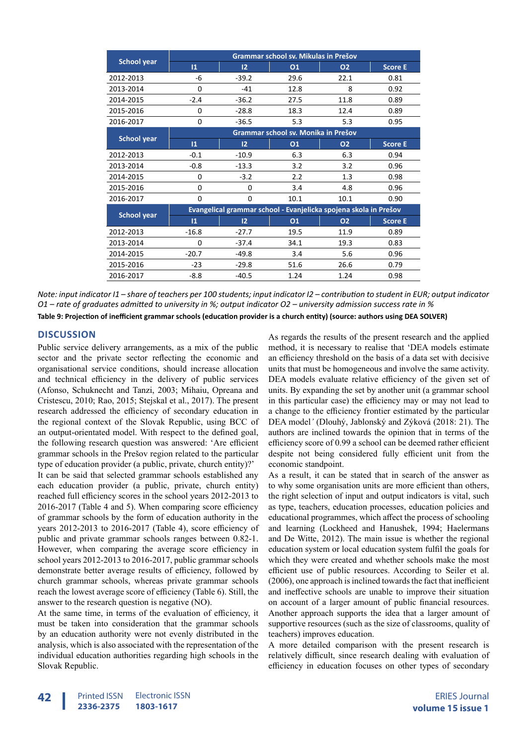|                    |                 |                   | Grammar school sv. Mikulas in Prešov                             |           |                |
|--------------------|-----------------|-------------------|------------------------------------------------------------------|-----------|----------------|
| <b>School year</b> | $\overline{11}$ | 12                | 01                                                               | 02        | <b>Score E</b> |
| 2012-2013          | -6              | $-39.2$           | 29.6                                                             | 22.1      | 0.81           |
| 2013-2014          | $\Omega$        | $-41$             | 12.8                                                             | 8         | 0.92           |
| 2014-2015          | $-2.4$          | $-36.2$           | 27.5                                                             | 11.8      | 0.89           |
| 2015-2016          | 0               | $-28.8$           | 18.3                                                             | 12.4      | 0.89           |
| 2016-2017          | $\Omega$        | $-36.5$           | 5.3                                                              | 5.3       | 0.95           |
| <b>School year</b> |                 |                   | Grammar school sv. Monika in Prešov                              |           |                |
|                    | $\mathbf{11}$   | $12 \overline{ }$ | 01                                                               | <b>O2</b> | <b>Score E</b> |
| 2012-2013          | $-0.1$          | $-10.9$           | 6.3                                                              | 6.3       | 0.94           |
| 2013-2014          | $-0.8$          | $-13.3$           | 3.2                                                              | 3.2       | 0.96           |
| 2014-2015          | 0               | $-3.2$            | 2.2                                                              | 1.3       | 0.98           |
| 2015-2016          | 0               | 0                 | 3.4                                                              | 4.8       | 0.96           |
| 2016-2017          | 0               | 0                 | 10.1                                                             | 10.1      | 0.90           |
| <b>School year</b> |                 |                   | Evangelical grammar school - Evanjelicka spojena skola in Prešov |           |                |
|                    | $\overline{11}$ | $12 \overline{ }$ | 01                                                               | <b>O2</b> | <b>Score E</b> |
| 2012-2013          | $-16.8$         | $-27.7$           | 19.5                                                             | 11.9      | 0.89           |
| 2013-2014          | $\Omega$        | $-37.4$           | 34.1                                                             | 19.3      | 0.83           |
| 2014-2015          | $-20.7$         | $-49.8$           | 3.4                                                              | 5.6       | 0.96           |
| 2015-2016          | $-23$           | $-29.8$           | 51.6                                                             | 26.6      | 0.79           |
| 2016-2017          | $-8.8$          | $-40.5$           | 1.24                                                             | 1.24      | 0.98           |

*Note: input indicator I1 – share of teachers per 100 students; input indicator I2 – contribution to student in EUR; output indicator O1 – rate of graduates admitted to university in %; output indicator O2 – university admission success rate in %* **Table 9: Projection of inefficient grammar schools (education provider is a church entity) (source: authors using DEA SOLVER)**

# **DISCUSSION**

Public service delivery arrangements, as a mix of the public sector and the private sector reflecting the economic and organisational service conditions, should increase allocation and technical efficiency in the delivery of public services (Afonso, Schuknecht and Tanzi, 2003; Mihaiu, Opreana and Cristescu, 2010; Rao, 2015; Stejskal et al., 2017). The present research addressed the efficiency of secondary education in the regional context of the Slovak Republic, using BCC of an output-orientated model. With respect to the defined goal, the following research question was answered: 'Are efficient grammar schools in the Prešov region related to the particular type of education provider (a public, private, church entity)?'

It can be said that selected grammar schools established any each education provider (a public, private, church entity) reached full efficiency scores in the school years 2012-2013 to 2016-2017 (Table 4 and 5). When comparing score efficiency of grammar schools by the form of education authority in the years 2012-2013 to 2016-2017 (Table 4), score efficiency of public and private grammar schools ranges between 0.82-1. However, when comparing the average score efficiency in school years 2012-2013 to 2016-2017, public grammar schools demonstrate better average results of efficiency, followed by church grammar schools, whereas private grammar schools reach the lowest average score of efficiency (Table 6). Still, the answer to the research question is negative (NO).

At the same time, in terms of the evaluation of efficiency, it must be taken into consideration that the grammar schools by an education authority were not evenly distributed in the analysis, which is also associated with the representation of the individual education authorities regarding high schools in the Slovak Republic.

As regards the results of the present research and the applied method, it is necessary to realise that 'DEA models estimate an efficiency threshold on the basis of a data set with decisive units that must be homogeneous and involve the same activity. DEA models evaluate relative efficiency of the given set of units. By expanding the set by another unit (a grammar school in this particular case) the efficiency may or may not lead to a change to the efficiency frontier estimated by the particular DEA model*'* (Dlouhý, Jablonský and Zýková (2018: 21). The authors are inclined towards the opinion that in terms of the efficiency score of 0.99 a school can be deemed rather efficient despite not being considered fully efficient unit from the economic standpoint.

As a result, it can be stated that in search of the answer as to why some organisation units are more efficient than others, the right selection of input and output indicators is vital, such as type, teachers, education processes, education policies and educational programmes, which affect the process of schooling and learning (Lockheed and Hanushek, 1994; Haelermans and De Witte, 2012). The main issue is whether the regional education system or local education system fulfil the goals for which they were created and whether schools make the most efficient use of public resources. According to Seiler et al. (2006), one approach is inclined towards the fact that inefficient and ineffective schools are unable to improve their situation on account of a larger amount of public financial resources. Another approach supports the idea that a larger amount of supportive resources (such as the size of classrooms, quality of teachers) improves education.

A more detailed comparison with the present research is relatively difficult, since research dealing with evaluation of efficiency in education focuses on other types of secondary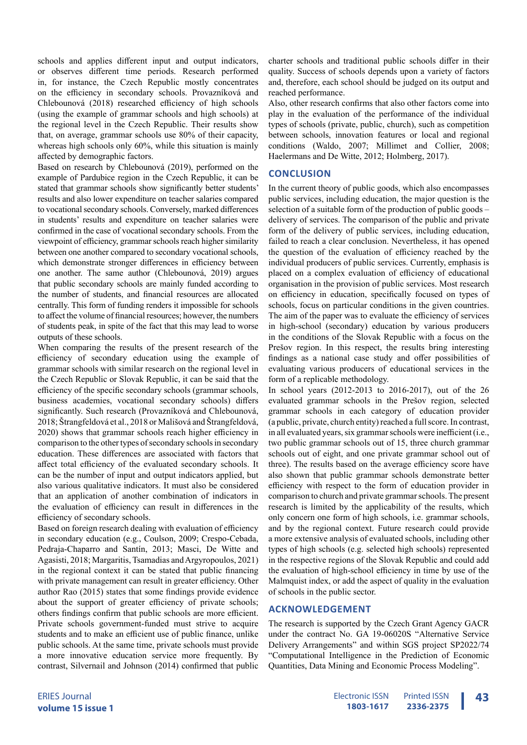schools and applies different input and output indicators, or observes different time periods. Research performed in, for instance, the Czech Republic mostly concentrates on the efficiency in secondary schools. Provazníková and Chlebounová (2018) researched efficiency of high schools (using the example of grammar schools and high schools) at the regional level in the Czech Republic. Their results show that, on average, grammar schools use 80% of their capacity, whereas high schools only 60%, while this situation is mainly affected by demographic factors.

Based on research by Chlebounová (2019), performed on the example of Pardubice region in the Czech Republic, it can be stated that grammar schools show significantly better students' results and also lower expenditure on teacher salaries compared to vocational secondary schools. Conversely, marked differences in students' results and expenditure on teacher salaries were confirmed in the case of vocational secondary schools. From the viewpoint of efficiency, grammar schools reach higher similarity between one another compared to secondary vocational schools, which demonstrate stronger differences in efficiency between one another. The same author (Chlebounová, 2019) argues that public secondary schools are mainly funded according to the number of students, and financial resources are allocated centrally. This form of funding renders it impossible for schools to affect the volume of financial resources; however, the numbers of students peak, in spite of the fact that this may lead to worse outputs of these schools.

When comparing the results of the present research of the efficiency of secondary education using the example of grammar schools with similar research on the regional level in the Czech Republic or Slovak Republic, it can be said that the efficiency of the specific secondary schools (grammar schools, business academies, vocational secondary schools) differs significantly. Such research (Provazníková and Chlebounová, 2018; Štrangfeldová et al., 2018 or Mališová and Štrangfeldová, 2020) shows that grammar schools reach higher efficiency in comparison to the other types of secondary schools in secondary education. These differences are associated with factors that affect total efficiency of the evaluated secondary schools. It can be the number of input and output indicators applied, but also various qualitative indicators. It must also be considered that an application of another combination of indicators in the evaluation of efficiency can result in differences in the efficiency of secondary schools.

Based on foreign research dealing with evaluation of efficiency in secondary education (e.g., Coulson, 2009; Crespo-Cebada, Pedraja-Chaparro and Santín, 2013; Masci, De Witte and Agasisti, 2018; Margaritis, Tsamadias and Argyropoulos, 2021) in the regional context it can be stated that public financing with private management can result in greater efficiency. Other author Rao (2015) states that some findings provide evidence about the support of greater efficiency of private schools; others findings confirm that public schools are more efficient. Private schools government-funded must strive to acquire students and to make an efficient use of public finance, unlike public schools. At the same time, private schools must provide a more innovative education service more frequently. By contrast, Silvernail and Johnson (2014) confirmed that public

charter schools and traditional public schools differ in their quality. Success of schools depends upon a variety of factors and, therefore, each school should be judged on its output and reached performance.

Also, other research confirms that also other factors come into play in the evaluation of the performance of the individual types of schools (private, public, church), such as competition between schools, innovation features or local and regional conditions (Waldo, 2007; Millimet and Collier, 2008; Haelermans and De Witte, 2012; Holmberg, 2017).

## **CONCLUSION**

In the current theory of public goods, which also encompasses public services, including education, the major question is the selection of a suitable form of the production of public goods – delivery of services. The comparison of the public and private form of the delivery of public services, including education, failed to reach a clear conclusion. Nevertheless, it has opened the question of the evaluation of efficiency reached by the individual producers of public services. Currently, emphasis is placed on a complex evaluation of efficiency of educational organisation in the provision of public services. Most research on efficiency in education, specifically focused on types of schools, focus on particular conditions in the given countries. The aim of the paper was to evaluate the efficiency of services in high-school (secondary) education by various producers in the conditions of the Slovak Republic with a focus on the Prešov region. In this respect, the results bring interesting findings as a national case study and offer possibilities of evaluating various producers of educational services in the form of a replicable methodology.

In school years (2012-2013 to 2016-2017), out of the 26 evaluated grammar schools in the Prešov region, selected grammar schools in each category of education provider (a public, private, church entity) reached a full score. In contrast, in all evaluated years, six grammar schools were inefficient (i.e., two public grammar schools out of 15, three church grammar schools out of eight, and one private grammar school out of three). The results based on the average efficiency score have also shown that public grammar schools demonstrate better efficiency with respect to the form of education provider in comparison to church and private grammar schools. The present research is limited by the applicability of the results, which only concern one form of high schools, i.e. grammar schools, and by the regional context. Future research could provide a more extensive analysis of evaluated schools, including other types of high schools (e.g. selected high schools) represented in the respective regions of the Slovak Republic and could add the evaluation of high-school efficiency in time by use of the Malmquist index, or add the aspect of quality in the evaluation of schools in the public sector.

#### **ACKNOWLEDGEMENT**

The research is supported by the Czech Grant Agency GACR under the contract No. GA 19-06020S "Alternative Service Delivery Arrangements" and within SGS project SP2022/74 "Computational Intelligence in the Prediction of Economic Quantities, Data Mining and Economic Process Modeling".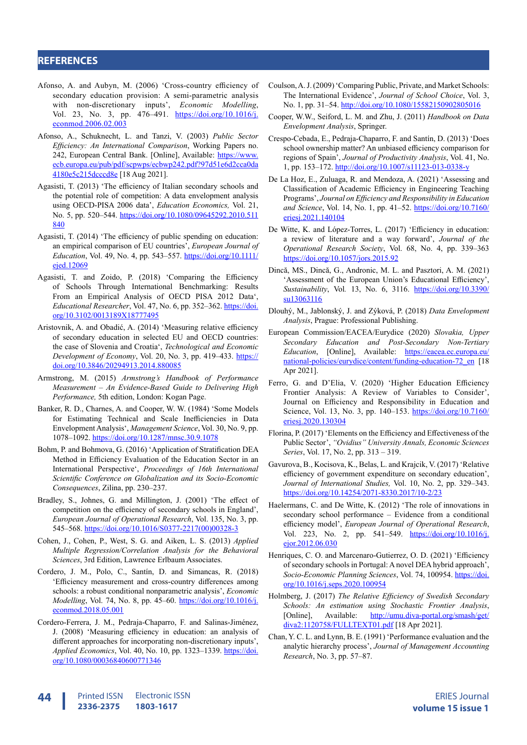## **REFERENCES**

- Afonso, A. and Aubyn, M. (2006) 'Cross-country efficiency of secondary education provision: A semi-parametric analysis with non-discretionary inputs', *Economic Modelling*, Vol. 23, No. 3, pp. 476–491. [https://doi.org/10.1016/j.](https://doi.org/10.1016/j.econmod.2006.02.003) [econmod.2006.02.003](https://doi.org/10.1016/j.econmod.2006.02.003)
- Afonso, A., Schuknecht, L. and Tanzi, V. (2003) *Public Sector Efficiency: An International Comparison*, Working Papers no. 242, European Central Bank. [Online], Available: [https://www.](https://www.ecb.europa.eu/pub/pdf/scpwps/ecbwp242.pdf?97d51e6d2cca0da4180e5c215dcccd8e) [ecb.europa.eu/pub/pdf/scpwps/ecbwp242.pdf?97d51e6d2cca0da](https://www.ecb.europa.eu/pub/pdf/scpwps/ecbwp242.pdf?97d51e6d2cca0da4180e5c215dcccd8e) [4180e5c215dcccd8e](https://www.ecb.europa.eu/pub/pdf/scpwps/ecbwp242.pdf?97d51e6d2cca0da4180e5c215dcccd8e) [18 Aug 2021].
- Agasisti, T. (2013) 'The efficiency of Italian secondary schools and the potential role of competition: A data envelopment analysis using OECD-PISA 2006 data', *Education Economics,* Vol. 21, No. 5, pp. 520–544. [https://doi.org/10.1080/09645292.2010.511](https://doi.org/10.1080/09645292.2010.511840) [840](https://doi.org/10.1080/09645292.2010.511840)
- Agasisti, T. (2014) 'The efficiency of public spending on education: an empirical comparison of EU countries', *European Journal of Education*, Vol. 49, No. 4, pp. 543–557. [https://doi.org/10.1111/](https://doi.org/10.1111/ejed.12069) [ejed.12069](https://doi.org/10.1111/ejed.12069)
- Agasisti, T. and Zoido, P. (2018) 'Comparing the Efficiency of Schools Through International Benchmarking: Results From an Empirical Analysis of OECD PISA 2012 Data', *Educational Researcher*, Vol. 47, No. 6, pp. 352–362. [https://doi.](https://doi.org/10.3102/0013189X18777495) [org/10.3102/0013189X18777495](https://doi.org/10.3102/0013189X18777495)
- Aristovnik, A. and Obadić, A. (2014) 'Measuring relative efficiency of secondary education in selected EU and OECD countries: the case of Slovenia and Croatia', *Technological and Economic Development of Economy*, Vol. 20, No. 3, pp. 419-433. [https://](https://doi.org/10.3846/20294913.2014.880085) [doi.org/10.3846/20294913.2014.880085](https://doi.org/10.3846/20294913.2014.880085)
- Armstrong, M. (2015) *Armstrong's Handbook of Performance Measurement – An Evidence‐Based Guide to Delivering High Performance,* 5th edition, London: Kogan Page.
- Banker, R. D., Charnes, A. and Cooper, W. W. (1984) 'Some Models for Estimating Technical and Scale Inefficiencies in Data Envelopment Analysis', *Management Science*, Vol. 30, No. 9, pp. 1078–1092. <https://doi.org/10.1287/mnsc.30.9.1078>
- Bohm, P. and Bohmova, G. (2016) 'Application of Stratification DEA Method in Efficiency Evaluation of the Education Sector in an International Perspective', *Proceedings of 16th International Scientific Conference on Globalization and its Socio-Economic Consequences*, Zilina, pp. 230–237.
- Bradley, S., Johnes, G. and Millington, J. (2001) 'The effect of competition on the efficiency of secondary schools in England', *European Journal of Operational Research*, Vol. 135, No. 3, pp. 545–568. [https://doi.org/10.1016/S0377-2217\(00\)00328-3](https://doi.org/10.1016/S0377-2217(00)00328-3)
- Cohen, J., Cohen, P., West, S. G. and Aiken, L. S. (2013) *Applied Multiple Regression/Correlation Analysis for the Behavioral Sciences*, 3rd Edition, Lawrence Erlbaum Associates.
- Cordero, J. M., Polo, C., Santín, D. and Simancas, R. (2018) 'Efficiency measurement and cross-country differences among schools: a robust conditional nonparametric analysis', *Economic Modelling*, Vol. 74, No. 8, pp. 45–60. [https://doi.org/10.1016/j.](https://doi.org/10.1016/j.econmod.2018.05.001) [econmod.2018.05.001](https://doi.org/10.1016/j.econmod.2018.05.001)
- Cordero-Ferrera, J. M., Pedraja-Chaparro, F. and Salinas-Jiménez, J. (2008) 'Measuring efficiency in education: an analysis of different approaches for incorporating non-discretionary inputs', *Applied Economics*, Vol. 40, No. 10, pp. 1323–1339. [https://doi.](https://doi.org/10.1080/00036840600771346) [org/10.1080/00036840600771346](https://doi.org/10.1080/00036840600771346)
- Coulson, A. J. (2009) 'Comparing Public, Private, and Market Schools: The International Evidence', *Journal of School Choice*, Vol. 3, No. 1, pp. 31–54.<http://doi.org/10.1080/15582150902805016>
- Cooper, W.W., Seiford, L. M. and Zhu, J. (2011) *Handbook on Data Envelopment Analysis*, Springer.
- Crespo-Cebada, E., Pedraja-Chaparro, F. and Santín, D. (2013) 'Does school ownership matter? An unbiased efficiency comparison for regions of Spain', *Journal of Productivity Analysis*, Vol. 41, No. 1, pp. 153–172. <http://doi.org/10.1007/s11123-013-0338-y>
- De La Hoz, E., Zuluaga, R. and Mendoza, A. (2021) 'Assessing and Classification of Academic Efficiency in Engineering Teaching Programs', *Journal on Efficiency and Responsibility in Education and Science*, Vol. 14, No. 1, pp. 41–52. [https://doi.org/10.7160/](https://doi.org/10.7160/eriesj.2021.140104) [eriesj.2021.140104](https://doi.org/10.7160/eriesj.2021.140104)
- De Witte, K. and López-Torres, L. (2017) 'Efficiency in education: a review of literature and a way forward', *Journal of the Operational Research Society*, Vol. 68, No. 4, pp. 339–363 <https://doi.org/10.1057/jors.2015.92>
- Dincă, MS., Dincă, G., Andronic, M. L. and Pasztori, A. M. (2021) 'Assessment of the European Union's Educational Efficiency', *Sustainability*, Vol*.* 13, No. 6, 3116. [https://doi.org/10.3390/](https://doi.org/10.3390/su13063116) [su13063116](https://doi.org/10.3390/su13063116)
- Dlouhý, M., Jablonský, J. and Zýková, P. (2018) *Data Envelopment Analysis*, Prague: Professional Publishing.
- European Commission/EACEA/Eurydice (2020) *Slovakia, Upper Secondary Education and Post-Secondary Non-Tertiary Education*, [Online], Available: [https://eacea.ec.europa.eu/](https://eacea.ec.europa.eu/national-policies/eurydice/content/funding-education-72_en) [national-policies/eurydice/content/funding-education-72\\_en](https://eacea.ec.europa.eu/national-policies/eurydice/content/funding-education-72_en) [18 Apr 2021].
- Ferro, G. and D'Elia, V. (2020) 'Higher Education Efficiency Frontier Analysis: A Review of Variables to Consider', Journal on Efficiency and Responsibility in Education and Science, Vol. 13, No. 3, pp. 140–153. [https://doi.org/10.7160/](https://doi.org/10.7160/eriesj.2020.130304) [eriesj.2020.130304](https://doi.org/10.7160/eriesj.2020.130304)
- Florina, P. (2017) 'Elements on the Efficiency and Effectiveness of the Public Sector', *"Ovidius" University Annals, Economic Sciences Series*, Vol. 17, No. 2, pp. 313 – 319.
- Gavurova, B., Kocisova, K., Belas, L. and Krajcik, V. (2017) 'Relative efficiency of government expenditure on secondary education', *Journal of International Studies,* Vol. 10, No. 2, pp. 329–343. <https://doi.org/10.14254/2071-8330.2017/10-2/23>
- Haelermans, C. and De Witte, K. (2012) 'The role of innovations in secondary school performance – Evidence from a conditional efficiency model', *European Journal of Operational Research*, Vol. 223, No. 2, pp. 541–549. [https://doi.org/10.1016/j.](https://doi.org/10.1016/j.ejor.2012.06.030) [ejor.2012.06.030](https://doi.org/10.1016/j.ejor.2012.06.030)
- Henriques, C. O. and Marcenaro-Gutierrez, O. D. (2021) 'Efficiency of secondary schools in Portugal: A novel DEA hybrid approach', *Socio-Economic Planning Sciences*, Vol. 74, 100954. [https://doi.](https://doi.org/10.1016/j.seps.2020.100954) [org/10.1016/j.seps.2020.100954](https://doi.org/10.1016/j.seps.2020.100954)
- Holmberg, J. (2017) *The Relative Efficiency of Swedish Secondary Schools: An estimation using Stochastic Frontier Analysis*, [Online], Available: [http://umu.diva-portal.org/smash/get/](http://umu.diva-portal.org/smash/get/diva2:1120758/FULLTEXT01.pdf) [diva2:1120758/FULLTEXT01.pdf](http://umu.diva-portal.org/smash/get/diva2:1120758/FULLTEXT01.pdf) [18 Apr 2021].
- Chan, Y. C. L. and Lynn, B. E. (1991) 'Performance evaluation and the analytic hierarchy process', *Journal of Management Accounting Research*, No. 3, pp. 57–87.

Printed ISSN **2336-2375 44** Printed ISSN Electronic ISSN **Existence ERIES** Journal Electronic ISSN **1803-1617**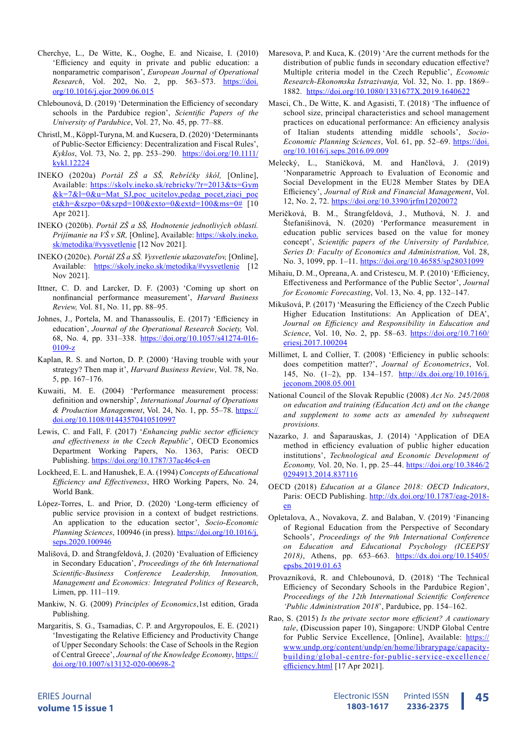- Cherchye, L., De Witte, K., Ooghe, E. and Nicaise, I. (2010) 'Efficiency and equity in private and public education: a nonparametric comparison', *European Journal of Operational Research*, Vol. 202, No. 2, pp. 563–573. [https://doi.](https://doi.org/10.1016/j.ejor.2009.06.015) [org/10.1016/j.ejor.2009.06.015](https://doi.org/10.1016/j.ejor.2009.06.015)
- Chlebounová, D. (2019) 'Determination the Efficiency of secondary schools in the Pardubice region', *Scientific Papers of the University of Pardubice*, Vol. 27, No. 45, pp. 77–88.
- Christl, M., Köppl-Turyna, M. and Kucsera, D. (2020) 'Determinants of Public-Sector Efficiency: Decentralization and Fiscal Rules', *Kyklos*, Vol. 73, No. 2, pp. 253-290. [https://doi.org/10.1111/](https://doi.org/10.1111/kykl.12224) [kykl.12224](https://doi.org/10.1111/kykl.12224)
- INEKO (2020a) *Portál ZŠ a SŠ, Rebríčky škól,* [Online], Available: [https://skoly.ineko.sk/rebricky/?r=2013&ts=Gym](https://skoly.ineko.sk/rebricky/?r=2013&ts=Gym&k=7&l=0&u=Mat_SJ,poc_ucitelov,pedag_pocet,ziaci_pocet) [&k=7&l=0&u=Mat\\_SJ,poc\\_ucitelov,pedag\\_pocet,ziaci\\_poc](https://skoly.ineko.sk/rebricky/?r=2013&ts=Gym&k=7&l=0&u=Mat_SJ,poc_ucitelov,pedag_pocet,ziaci_pocet)  $et&h=\&szpo=0&szpd=100&exto=0&extd=100&ms=0#$  [10 Apr 2021].
- INEKO (2020b). *Portál ZŠ a SŠ, Hodnotenie jednotlivých oblastí. Prijímanie na VŠ v SR*, [Online], Available: [https://skoly.ineko.](https://skoly.ineko.sk/metodika/#vysvetlenie) [sk/metodika/#vysvetlenie](https://skoly.ineko.sk/metodika/#vysvetlenie) [12 Nov 2021].
- INEKO (2020c). *Portál ZŠ a SŠ. Vysvetlenie ukazovateľov,* [Online], Available: <https://skoly.ineko.sk/metodika/#vysvetlenie>[12 Nov 2021].
- Ittner, C. D. and Larcker, D. F. (2003) 'Coming up short on nonfinancial performance measurement', *Harvard Business Review,* Vol. 81, No. 11, pp. 88–95.
- Johnes, J., Portela, M. and Thanassoulis, E. (2017) 'Efficiency in education', *Journal of the Operational Research Society,* Vol. 68, No. 4, pp. 331–338. [https://doi.org/10.1057/s41274-016-](https://doi.org/10.1057/s41274-016-0109-z) [0109-z](https://doi.org/10.1057/s41274-016-0109-z)
- Kaplan, R. S. and Norton, D. P. (2000) 'Having trouble with your strategy? Then map it', *Harvard Business Review*, Vol. 78, No. 5, pp. 167–176.
- Kuwaiti, M. E. (2004) 'Performance measurement process: definition and ownership', *International Journal of Operations & Production Management*, Vol. 24, No. 1, pp. 55–78. [https://](https://doi.org/10.1108/01443570410510997) [doi.org/10.1108/01443570410510997](https://doi.org/10.1108/01443570410510997)
- Lewis, C. and Fall, F. (2017) '*Enhancing public sector efficiency and effectiveness in the Czech Republic*', OECD Economics Department Working Papers, No. 1363, Paris: OECD Publishing. <https://doi.org/10.1787/37ac46c4-en>
- Lockheed, E. L. and Hanushek, E. A. (1994) *Concepts of Educational Efficiency and Effectiveness*, HRO Working Papers, No. 24, World Bank.
- López-Torres, L. and Prior, D. (2020) 'Long-term efficiency of public service provision in a context of budget restrictions. An application to the education sector', *Socio-Economic Planning Sciences*, 100946 (in press). [https://doi.org/10.1016/j.](https://doi.org/10.1016/j.seps.2020.100946) [seps.2020.100946](https://doi.org/10.1016/j.seps.2020.100946)
- Mališová, D. and Štrangfeldová, J. (2020) 'Evaluation of Efficiency in Secondary Education', *Proceedings of the 6th International Scientific-Business Conference Leadership, Innovation, Management and Economics: Integrated Politics of Research*, Limen, pp. 111–119.
- Mankiw, N. G. (2009) *Principles of Economics*,1st edition, Grada Publishing.
- Margaritis, S. G., Tsamadias, C. P. and Argyropoulos, E. E. (2021) 'Investigating the Relative Efficiency and Productivity Change of Upper Secondary Schools: the Case of Schools in the Region of Central Greece', Journal of the Knowledge Economy, [https://](https://doi.org/10.1007/s13132-020-00698-2) [doi.org/10.1007/s13132-020-00698-2](https://doi.org/10.1007/s13132-020-00698-2)
- Maresova, P. and Kuca, K. (2019) 'Are the current methods for the distribution of public funds in secondary education effective? Multiple criteria model in the Czech Republic', *Economic Research-Ekonomska Istrazivanja,* Vol. 32, No. 1. pp. 1869– 1882. <https://doi.org/10.1080/1331677X.2019.1640622>
- Masci, Ch., De Witte, K. and Agasisti, T. (2018) 'The influence of school size, principal characteristics and school management practices on educational performance: An efficiency analysis of Italian students attending middle schools', *Socio-Economic Planning Sciences*, Vol. 61, pp. 52–69. [https://doi.](https://doi.org/10.1016/j.seps.2016.09.009) [org/10.1016/j.seps.2016.09.009](https://doi.org/10.1016/j.seps.2016.09.009)
- Melecký, L., Staníčková, M. and Hančlová, J. (2019) 'Nonparametric Approach to Evaluation of Economic and Social Development in the EU28 Member States by DEA Efficiency', *Journal of Risk and Financial Management*, Vol. 12, No. 2, 72. <https://doi.org/10.3390/jrfm12020072>
- Meričková, B. M., Štrangfeldová, J., Muthová, N. J. and Štefanišinová, N. (2020) 'Performance measurement in education public services based on the value for money concept', *Scientific papers of the University of Pardubice, Series D: Faculty of Economics and Administration,* Vol. 28, No. 3, 1099, pp. 1–11. <https://doi.org/10.46585/sp28031099>
- Mihaiu, D. M., Opreana, A. and Cristescu, M. P. (2010) 'Efficiency, Effectiveness and Performance of the Public Sector', *Journal for Economic Forecasting*, Vol. 13, No. 4, pp. 132–147.
- Mikušová, P. (2017) 'Measuring the Efficiency of the Czech Public Higher Education Institutions: An Application of DEA', *Journal on Efficiency and Responsibility in Education and Science*, Vol. 10, No. 2, pp. 58–63. [https://doi.org/10.7160/](https://doi.org/10.7160/eriesj.2017.100204) [eriesj.2017.100204](https://doi.org/10.7160/eriesj.2017.100204)
- Millimet, L and Collier, T. (2008) 'Efficiency in public schools: does competition matter?', *Journal of Econometrics*, Vol. 145, No. (1-2), pp. 134-157. [http://dx.doi.org/10.1016/j.](http://dx.doi.org/10.1016/j.jeconom.2008.05.001) [jeconom.2008.05.001](http://dx.doi.org/10.1016/j.jeconom.2008.05.001)
- National Council of the Slovak Republic (2008) *Act No. 245/2008 on education and training (Education Act) and on the change and supplement to some acts as amended by subsequent provisions.*
- Nazarko, J. and Šaparauskas, J. (2014) 'Application of DEA method in efficiency evaluation of public higher education institutions', *Technological and Economic Development of Economy,* Vol. 20, No. 1, pp. 25–44. [https://doi.org/10.3846/2](https://doi.org/10.3846/20294913.2014.837116) [0294913.2014.837116](https://doi.org/10.3846/20294913.2014.837116)
- OECD (2018) *Education at a Glance 2018: OECD Indicators*, Paris: OECD Publishing. [http://dx.doi.org/10.1787/eag-2018](http://dx.doi.org/10.1787/eag-2018-en) [en](http://dx.doi.org/10.1787/eag-2018-en)
- Opletalova, A., Novakova, Z. and Balaban, V. (2019) 'Financing of Regional Education from the Perspective of Secondary Schools', *Proceedings of the 9th International Conference on Education and Educational Psychology (ICEEPSY 2018)*, Athens, pp. 653–663*.* [https://dx.doi.org/10.15405/](https://dx.doi.org/10.15405/epsbs.2019.01.63) [epsbs.2019.01.63](https://dx.doi.org/10.15405/epsbs.2019.01.63)
- Provazníková, R. and Chlebounová, D. (2018) 'The Technical Efficiency of Secondary Schools in the Pardubice Region', *Proceedings of the 12th International Scientific Conference 'Public Administration 2018*', Pardubice, pp. 154–162.
- Rao, S. (2015) *Is the private sector more efficient? A cautionary tale*, **(**Discussion paper 10), Singapore: UNDP Global Centre for Public Service Excellence, [Online], Available: [https://](https://www.undp.org/content/undp/en/home/librarypage/capacity-building/global-centre-for-public-ser) [www.undp.org/content/undp/en/home/librarypage/capacity](https://www.undp.org/content/undp/en/home/librarypage/capacity-building/global-centre-for-public-ser)[building/global-centre-for-public-service-excellence/](https://www.undp.org/content/undp/en/home/librarypage/capacity-building/global-centre-for-public-ser) [efficiency.html](https://www.undp.org/content/undp/en/home/librarypage/capacity-building/global-centre-for-public-ser) [17 Apr 2021].